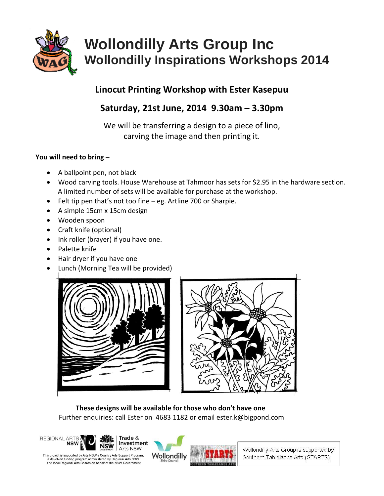

# **Wollondilly Arts Group Inc Wollondilly Inspirations Workshops 2014**

### **Linocut Printing Workshop with Ester Kasepuu**

## **Saturday, 21st June, 2014 9.30am – 3.30pm**

We will be transferring a design to a piece of lino, carving the image and then printing it.

#### **You will need to bring –**

- A ballpoint pen, not black
- Wood carving tools. House Warehouse at Tahmoor has sets for \$2.95 in the hardware section. A limited number of sets will be available for purchase at the workshop.
- Felt tip pen that's not too fine eg. Artline 700 or Sharpie.
- A simple 15cm x 15cm design
- Wooden spoon
- Craft knife (optional)
- Ink roller (brayer) if you have one.
- Palette knife
- Hair dryer if you have one
- Lunch (Morning Tea will be provided)





 **These designs will be available for those who don't have one** Further enquiries: call Ester on 4683 1182 or email ester.k@bigpond.com



This project is supported by Arts NSW's Country Arts Support Program. a devolved funding program administered by Regional Arts NSW<br>and local Regional Arts Boards on behalf of the NSW Governmen



Wollondilly Arts Group is supported by Southern Tablelands Arts (STARTS)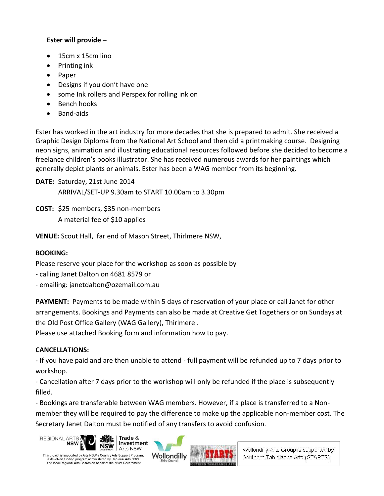#### **Ester will provide –**

- 15cm x 15cm lino
- $\bullet$  Printing ink
- Paper
- Designs if you don't have one
- some Ink rollers and Perspex for rolling ink on
- Bench hooks
- Band-aids

Ester has worked in the art industry for more decades that she is prepared to admit. She received a Graphic Design Diploma from the National Art School and then did a printmaking course. Designing neon signs, animation and illustrating educational resources followed before she decided to become a freelance children's books illustrator. She has received numerous awards for her paintings which generally depict plants or animals. Ester has been a WAG member from its beginning.

**DATE:** Saturday, 21st June 2014 ARRIVAL/SET-UP 9.30am to START 10.00am to 3.30pm

**COST:** \$25 members, \$35 non-members A material fee of \$10 applies

**VENUE:** Scout Hall, far end of Mason Street, Thirlmere NSW,

#### **BOOKING:**

Please reserve your place for the workshop as soon as possible by

- calling Janet Dalton on 4681 8579 or
- emailing: janetdalton@ozemail.com.au

**PAYMENT:** Payments to be made within 5 days of reservation of your place or call Janet for other arrangements. Bookings and Payments can also be made at Creative Get Togethers or on Sundays at the Old Post Office Gallery (WAG Gallery), Thirlmere .

Please use attached Booking form and information how to pay.

#### **CANCELLATIONS:**

- If you have paid and are then unable to attend - full payment will be refunded up to 7 days prior to workshop.

- Cancellation after 7 days prior to the workshop will only be refunded if the place is subsequently filled.

- Bookings are transferable between WAG members. However, if a place is transferred to a Nonmember they will be required to pay the difference to make up the applicable non-member cost. The Secretary Janet Dalton must be notified of any transfers to avoid confusion.





Wollondilly Arts Group is supported by Southern Tablelands Arts (STARTS)